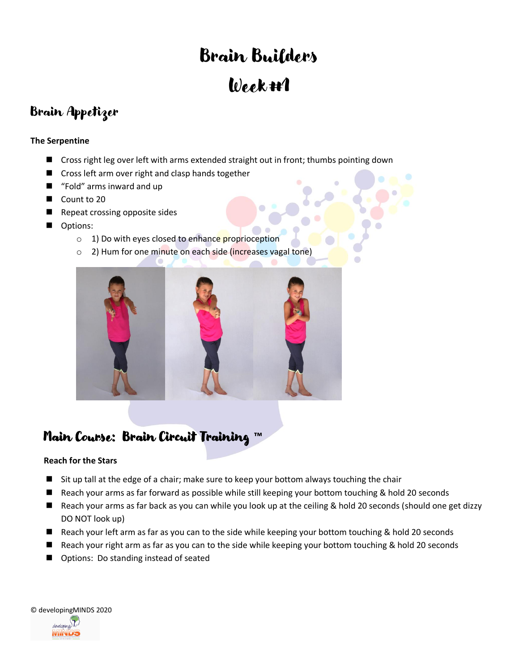# Brain Builders Week #1

### Brain Appetizer

#### **The Serpentine**

- Cross right leg over left with arms extended straight out in front; thumbs pointing down
- Cross left arm over right and clasp hands together
- "Fold" arms inward and up
- Count to 20
- ◼ Repeat crossing opposite sides
- Options:
	- o 1) Do with eyes closed to enhance proprioception
	- o 2) Hum for one minute on each side (increases vagal tone)



### Main Course: Brain Circuit Training **™**

#### **Reach for the Stars**

- Sit up tall at the edge of a chair; make sure to keep your bottom always touching the chair
- Reach your arms as far forward as possible while still keeping your bottom touching & hold 20 seconds
- Reach your arms as far back as you can while you look up at the ceiling & hold 20 seconds (should one get dizzy DO NOT look up)
- Reach your left arm as far as you can to the side while keeping your bottom touching & hold 20 seconds
- Reach your right arm as far as you can to the side while keeping your bottom touching & hold 20 seconds
- Options: Do standing instead of seated

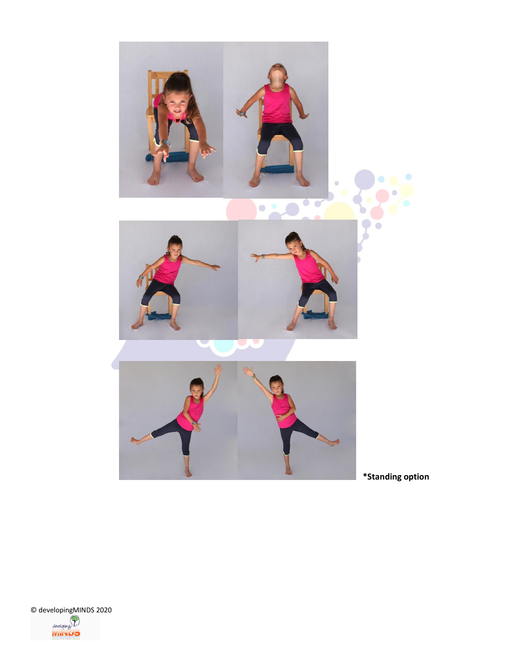

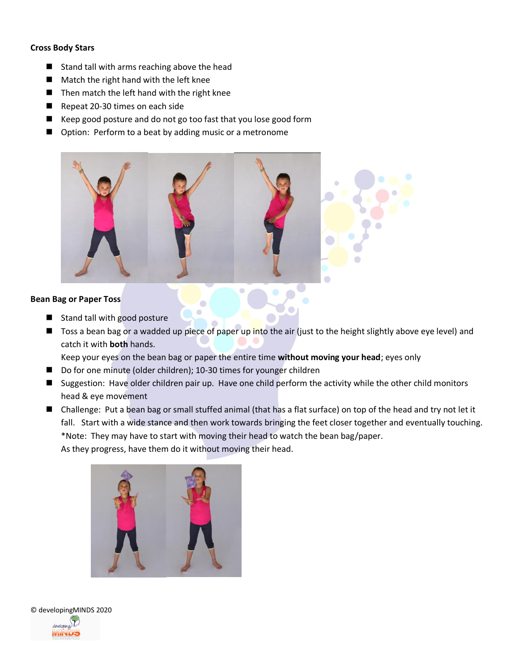#### **Cross Body Stars**

- Stand tall with arms reaching above the head
- Match the right hand with the left knee
- Then match the left hand with the right knee
- Repeat 20-30 times on each side
- Keep good posture and do not go too fast that you lose good form
- Option: Perform to a beat by adding music or a metronome



#### **Bean Bag or Paper Toss**

- Stand tall with good posture
- Toss a bean bag or a wadded up piece of paper up into the air (just to the height slightly above eye level) and catch it with **both** hands.

Keep your eyes on the bean bag or paper the entire time **without moving your head**; eyes only

- Do for one minute (older children); 10-30 times for younger children
- Suggestion: Have older children pair up. Have one child perform the activity while the other child monitors head & eye movement
- Challenge: Put a bean bag or small stuffed animal (that has a flat surface) on top of the head and try not let it fall. Start with a wide stance and then work towards bringing the feet closer together and eventually touching. \*Note: They may have to start with moving their head to watch the bean bag/paper. As they progress, have them do it without moving their head.





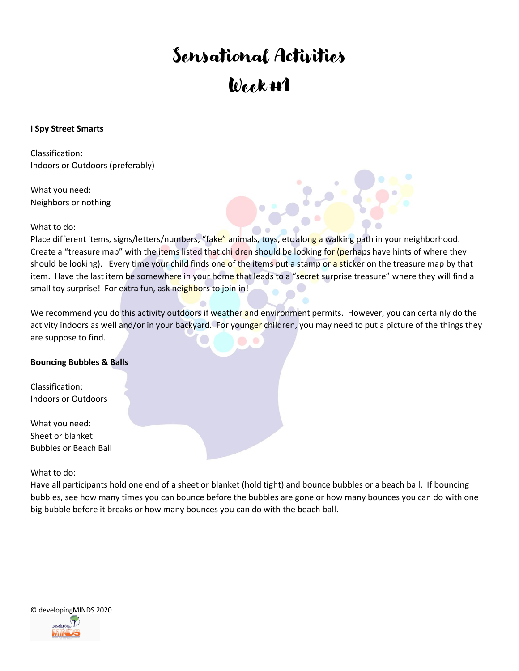# Sensational Activities Week #1

#### **I Spy Street Smarts**

Classification: Indoors or Outdoors (preferably)

What you need: Neighbors or nothing

What to do:

Place different items, signs/letters/numbers, "fake" animals, toys, etc along a walking path in your neighborhood. Create a "treasure map" with the items listed that children should be looking for (perhaps have hints of where they should be looking). Every time your child finds one of the items put a stamp or a sticker on the treasure map by that item. Have the last item be somewhere in your home that leads to a "secret surprise treasure" where they will find a small toy surprise! For extra fun, ask neighbors to join in!

We recommend you do this activity outdoors if weather and environment permits. However, you can certainly do the activity indoors as well and/or in your backyard. For younger children, you may need to put a picture of the things they are suppose to find.

#### **Bouncing Bubbles & Balls**

Classification: Indoors or Outdoors

What you need: Sheet or blanket Bubbles or Beach Ball

What to do:

Have all participants hold one end of a sheet or blanket (hold tight) and bounce bubbles or a beach ball. If bouncing bubbles, see how many times you can bounce before the bubbles are gone or how many bounces you can do with one big bubble before it breaks or how many bounces you can do with the beach ball.

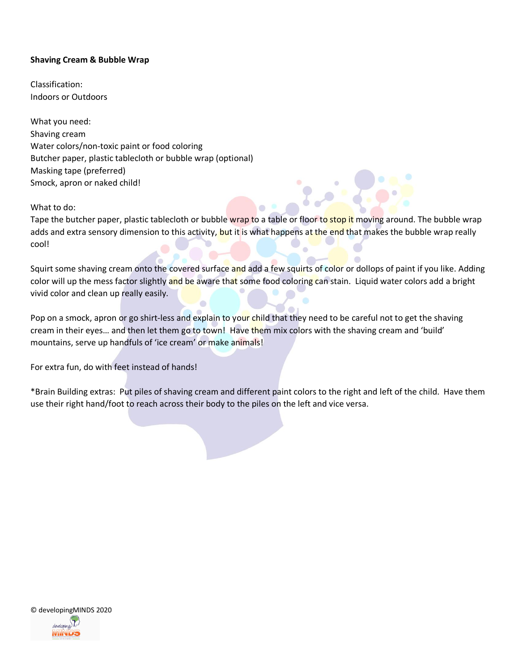#### **Shaving Cream & Bubble Wrap**

Classification: Indoors or Outdoors

What you need: Shaving cream Water colors/non-toxic paint or food coloring Butcher paper, plastic tablecloth or bubble wrap (optional) Masking tape (preferred) Smock, apron or naked child!

What to do:

Tape the butcher paper, plastic tablecloth or bubble wrap to a table or floor to stop it moving around. The bubble wrap adds and extra sensory dimension to this activity, but it is what happens at the end that makes the bubble wrap really cool!

Squirt some shaving cream onto the covered surface and add a few squirts of color or dollops of paint if you like. Adding color will up the mess factor slightly and be aware that some food coloring can stain. Liquid water colors add a bright vivid color and clean up really easily.

 $\blacksquare$ 

Pop on a smock, apron or go shirt-less and explain to your child that they need to be careful not to get the shaving cream in their eyes... and then let them go to town! Have them mix colors with the shaving cream and 'build' mountains, serve up handfuls of 'ice cream' or make animals!

For extra fun, do with feet instead of hands!

\*Brain Building extras: Put piles of shaving cream and different paint colors to the right and left of the child. Have them use their right hand/foot to reach across their body to the piles on the left and vice versa.

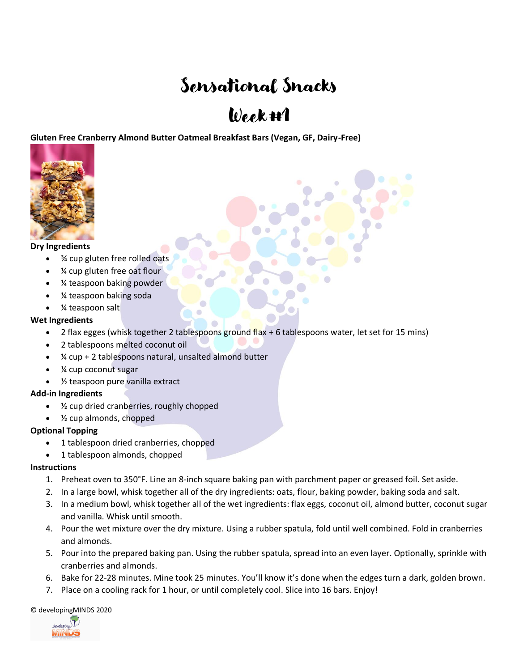## Sensational Snacks

## $Week#1$

**Gluten Free Cranberry Almond Butter Oatmeal Breakfast Bars (Vegan, GF, Dairy-Free)**



#### **Dry Ingredients**

- ¾ cup gluten free rolled oats
- ¼ cup gluten free oat flour
- ¼ teaspoon baking powder
- ¼ teaspoon baking soda
- % teaspoon salt

#### **Wet Ingredients**

- 2 flax egges (whisk together 2 tablespoons ground flax  $+6$  tablespoons water, let set for 15 mins)
- 2 tablespoons melted coconut oil
- ¼ cup + 2 tablespoons natural, unsalted almond butter
- ¼ cup coconut sugar
- ½ teaspoon pure vanilla extract

#### **Add-in Ingredients**

- $\frac{1}{2}$  cup dried cranberries, roughly chopped
- $\frac{1}{2}$  cup almonds, chopped

#### **Optional Topping**

- 1 tablespoon dried cranberries, chopped
- 1 tablespoon almonds, chopped

#### **Instructions**

- 1. Preheat oven to 350°F. Line an 8-inch square baking pan with parchment paper or greased foil. Set aside.
- 2. In a large bowl, whisk together all of the dry ingredients: oats, flour, baking powder, baking soda and salt.
- 3. In a medium bowl, whisk together all of the wet ingredients: flax eggs, coconut oil, almond butter, coconut sugar and vanilla. Whisk until smooth.
- 4. Pour the wet mixture over the dry mixture. Using a rubber spatula, fold until well combined. Fold in cranberries and almonds.
- 5. Pour into the prepared baking pan. Using the rubber spatula, spread into an even layer. Optionally, sprinkle with cranberries and almonds.
- 6. Bake for 22-28 minutes. Mine took 25 minutes. You'll know it's done when the edges turn a dark, golden brown.
- 7. Place on a cooling rack for 1 hour, or until completely cool. Slice into 16 bars. Enjoy!